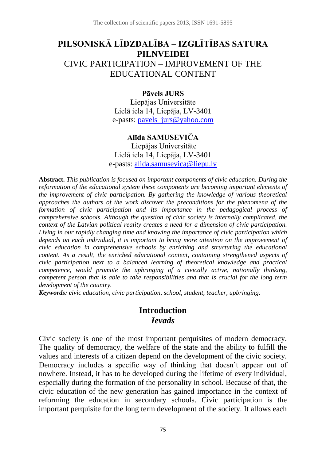# **PILSONISKĀ LĪDZDALĪBA – IZGLĪTĪBAS SATURA PILNVEIDEI** CIVIC PARTICIPATION – IMPROVEMENT OF THE EDUCATIONAL CONTENT

#### **Pāvels JURS**

Liepājas Universitāte Lielā iela 14, Liepāja, LV-3401 e-pasts: [pavels\\_jurs@yahoo.com](mailto:pavels_jurs@yahoo.com)

#### **Alīda SAMUSEVIČA**

Liepājas Universitāte Lielā iela 14, Liepāja, LV-3401 e-pasts: [alida.samusevica@liepu.lv](mailto:alida.samusevica@liepu.lv)

**Abstract.** *This publication is focused on important components of civic education. During the reformation of the educational system these components are becoming important elements of the improvement of civic participation. By gathering the knowledge of various theoretical approaches the authors of the work discover the preconditions for the phenomena of the formation of civic participation and its importance in the pedagogical process of comprehensive schools. Although the question of civic society is internally complicated, the context of the Latvian political reality creates a need for a dimension of civic participation. Living in our rapidly changing time and knowing the importance of civic participation which depends on each individual, it is important to bring more attention on the improvement of civic education in comprehensive schools by enriching and structuring the educational content. As a result, the enriched educational content, containing strengthened aspects of civic participation next to a balanced learning of theoretical knowledge and practical competence, would promote the upbringing of a civically active, nationally thinking, competent person that is able to take responsibilities and that is crucial for the long term development of the country.* 

*Keywords: civic education, civic participation, school, student, teacher, upbringing.*

#### **Introduction** *Ievads*

Civic society is one of the most important perquisites of modern democracy. The quality of democracy, the welfare of the state and the ability to fulfill the values and interests of a citizen depend on the development of the civic society. Democracy includes a specific way of thinking that doesn't appear out of nowhere. Instead, it has to be developed during the lifetime of every individual, especially during the formation of the personality in school. Because of that, the civic education of the new generation has gained importance in the context of reforming the education in secondary schools. Civic participation is the important perquisite for the long term development of the society. It allows each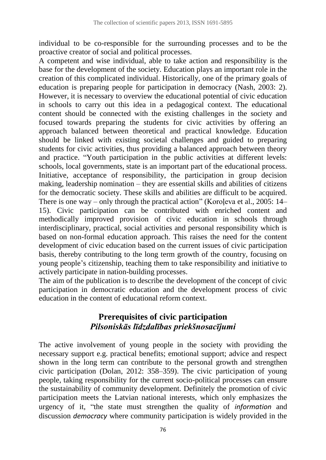individual to be co-responsible for the surrounding processes and to be the proactive creator of social and political processes.

A competent and wise individual, able to take action and responsibility is the base for the development of the society. Education plays an important role in the creation of this complicated individual. Historically, one of the primary goals of education is preparing people for participation in democracy (Nash, 2003: 2). However, it is necessary to overview the educational potential of civic education in schools to carry out this idea in a pedagogical context. The educational content should be connected with the existing challenges in the society and focused towards preparing the students for civic activities by offering an approach balanced between theoretical and practical knowledge. Education should be linked with existing societal challenges and guided to preparing students for civic activities, thus providing a balanced approach between theory and practice. "Youth participation in the public activities at different levels: schools, local governments, state is an important part of the educational process. Initiative, acceptance of responsibility, the participation in group decision making, leadership nomination – they are essential skills and abilities of citizens for the democratic society. These skills and abilities are difficult to be acquired. There is one way – only through the practical action" (Koroļeva et al., 2005: 14– 15). Civic participation can be contributed with enriched content and methodically improved provision of civic education in schools through interdisciplinary, practical, social activities and personal responsibility which is based on non-formal education approach. This raises the need for the content development of civic education based on the current issues of civic participation basis, thereby contributing to the long term growth of the country, focusing on young people's citizenship, teaching them to take responsibility and initiative to actively participate in nation-building processes.

The aim of the publication is to describe the development of the concept of civic participation in democratic education and the development process of civic education in the content of educational reform context.

# **Prerequisites of civic participation** *Pilsoniskās līdzdalības priekšnosacījumi*

The active involvement of young people in the society with providing the necessary support e.g. practical benefits; emotional support; advice and respect shown in the long term can contribute to the personal growth and strengthen civic participation (Dolan, 2012: 358–359). The civic participation of young people, taking responsibility for the current socio-political processes can ensure the sustainability of community development. Definitely the promotion of civic participation meets the Latvian national interests, which only emphasizes the urgency of it, "the state must strengthen the quality of *information* and discussion *democracy* where community participation is widely provided in the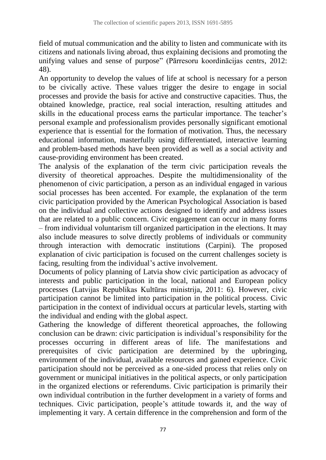field of mutual communication and the ability to listen and communicate with its citizens and nationals living abroad, thus explaining decisions and promoting the unifying values and sense of purpose" (Pārresoru koordinācijas centrs, 2012: 48).

An opportunity to develop the values of life at school is necessary for a person to be civically active. These values trigger the desire to engage in social processes and provide the basis for active and constructive capacities. Thus, the obtained knowledge, practice, real social interaction, resulting attitudes and skills in the educational process earns the particular importance. The teacher's personal example and professionalism provides personally significant emotional experience that is essential for the formation of motivation. Thus, the necessary educational information, masterfully using differentiated, interactive learning and problem-based methods have been provided as well as a social activity and cause-providing environment has been created.

The analysis of the explanation of the term civic participation reveals the diversity of theoretical approaches. Despite the multidimensionality of the phenomenon of civic participation, a person as an individual engaged in various social processes has been accented. For example, the explanation of the term civic participation provided by the American Psychological Association is based on the individual and collective actions designed to identify and address issues that are related to a public concern. Civic engagement can occur in many forms – from individual voluntarism till organized participation in the elections. It may also include measures to solve directly problems of individuals or community through interaction with democratic institutions (Carpini). The proposed explanation of civic participation is focused on the current challenges society is facing, resulting from the individual's active involvement.

Documents of policy planning of Latvia show civic participation as advocacy of interests and public participation in the local, national and European policy processes (Latvijas Republikas Kultūras ministrija, 2011: 6). However, civic participation cannot be limited into participation in the political process. Civic participation in the context of individual occurs at particular levels, starting with the individual and ending with the global aspect.

Gathering the knowledge of different theoretical approaches, the following conclusion can be drawn: civic participation is individual's responsibility for the processes occurring in different areas of life. The manifestations and prerequisites of civic participation are determined by the upbringing, environment of the individual, available resources and gained experience. Civic participation should not be perceived as a one-sided process that relies only on government or municipal initiatives in the political aspects, or only participation in the organized elections or referendums. Civic participation is primarily their own individual contribution in the further development in a variety of forms and techniques. Civic participation, people's attitude towards it, and the way of implementing it vary. A certain difference in the comprehension and form of the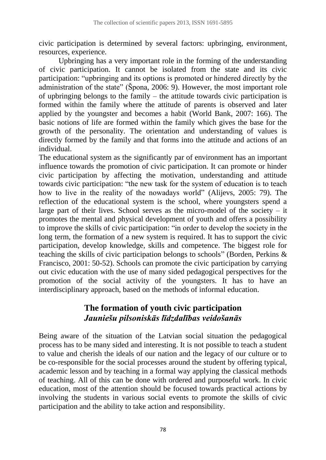civic participation is determined by several factors: upbringing, environment, resources, experience.

Upbringing has a very important role in the forming of the understanding of civic participation. It cannot be isolated from the state and its civic participation: "upbringing and its options is promoted or hindered directly by the administration of the state" (Špona, 2006: 9). However, the most important role of upbringing belongs to the family – the attitude towards civic participation is formed within the family where the attitude of parents is observed and later applied by the youngster and becomes a habit (World Bank, 2007: 166). The basic notions of life are formed within the family which gives the base for the growth of the personality. The orientation and understanding of values is directly formed by the family and that forms into the attitude and actions of an individual.

The educational system as the significantly par of environment has an important influence towards the promotion of civic participation. It can promote or hinder civic participation by affecting the motivation, understanding and attitude towards civic participation: "the new task for the system of education is to teach how to live in the reality of the nowadays world" (Alijevs, 2005: 79). The reflection of the educational system is the school, where youngsters spend a large part of their lives. School serves as the micro-model of the society  $-$  it promotes the mental and physical development of youth and offers a possibility to improve the skills of civic participation: "in order to develop the society in the long term, the formation of a new system is required. It has to support the civic participation, develop knowledge, skills and competence. The biggest role for teaching the skills of civic participation belongs to schools" (Borden, Perkins & Francisco, 2001: 50-52). Schools can promote the civic participation by carrying out civic education with the use of many sided pedagogical perspectives for the promotion of the social activity of the youngsters. It has to have an interdisciplinary approach, based on the methods of informal education.

## **The formation of youth civic participation** *Jauniešu pilsoniskās līdzdalības veidošanās*

Being aware of the situation of the Latvian social situation the pedagogical process has to be many sided and interesting. It is not possible to teach a student to value and cherish the ideals of our nation and the legacy of our culture or to be co-responsible for the social processes around the student by offering typical, academic lesson and by teaching in a formal way applying the classical methods of teaching. All of this can be done with ordered and purposeful work. In civic education, most of the attention should be focused towards practical actions by involving the students in various social events to promote the skills of civic participation and the ability to take action and responsibility.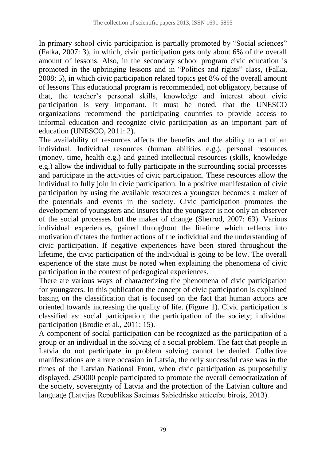In primary school civic participation is partially promoted by "Social sciences" (Falka, 2007: 3), in which, civic participation gets only about 6% of the overall amount of lessons. Also, in the secondary school program civic education is promoted in the upbringing lessons and in "Politics and rights" class, (Falka, 2008: 5), in which civic participation related topics get 8% of the overall amount of lessons This educational program is recommended, not obligatory, because of that, the teacher's personal skills, knowledge and interest about civic participation is very important. It must be noted, that the UNESCO organizations recommend the participating countries to provide access to informal education and recognize civic participation as an important part of education (UNESCO, 2011: 2).

The availability of resources affects the benefits and the ability to act of an individual. Individual resources (human abilities e.g.), personal resources (money, time, health e.g.) and gained intellectual resources (skills, knowledge e.g.) allow the individual to fully participate in the surrounding social processes and participate in the activities of civic participation. These resources allow the individual to fully join in civic participation. In a positive manifestation of civic participation by using the available resources a youngster becomes a maker of the potentials and events in the society. Civic participation promotes the development of youngsters and insures that the youngster is not only an observer of the social processes but the maker of change (Sherrod, 2007: 63). Various individual experiences, gained throughout the lifetime which reflects into motivation dictates the further actions of the individual and the understanding of civic participation. If negative experiences have been stored throughout the lifetime, the civic participation of the individual is going to be low. The overall experience of the state must be noted when explaining the phenomena of civic participation in the context of pedagogical experiences.

There are various ways of characterizing the phenomena of civic participation for youngsters. In this publication the concept of civic participation is explained basing on the classification that is focused on the fact that human actions are oriented towards increasing the quality of life. (Figure 1). Civic participation is classified as: social participation; the participation of the society; individual participation (Brodie et al., 2011: 15).

A component of social participation can be recognized as the participation of a group or an individual in the solving of a social problem. The fact that people in Latvia do not participate in problem solving cannot be denied. Collective manifestations are a rare occasion in Latvia, the only successful case was in the times of the Latvian National Front, when civic participation as purposefully displayed. 250000 people participated to promote the overall democratization of the society, sovereignty of Latvia and the protection of the Latvian culture and language (Latvijas Republikas Saeimas Sabiedrisko attiecību birojs, 2013).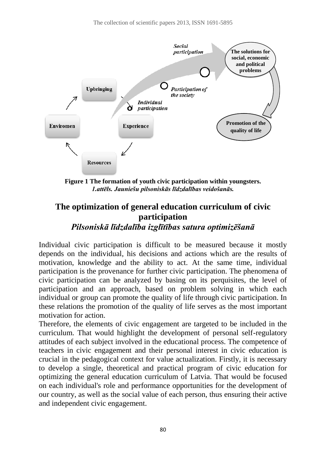

**Figure 1 The formation of youth civic participation within youngsters.** *1.attēls. Jauniešu pilsoniskās līdzdalības veidošanās.*

# **The optimization of general education curriculum of civic participation**

*Pilsoniskā līdzdalība izglītības satura optimizēšanā*

Individual civic participation is difficult to be measured because it mostly depends on the individual, his decisions and actions which are the results of motivation, knowledge and the ability to act. At the same time, individual participation is the provenance for further civic participation. The phenomena of civic participation can be analyzed by basing on its perquisites, the level of participation and an approach, based on problem solving in which each individual or group can promote the quality of life through civic participation. In these relations the promotion of the quality of life serves as the most important motivation for action.

Therefore, the elements of civic engagement are targeted to be included in the curriculum. That would highlight the development of personal self-regulatory attitudes of each subject involved in the educational process. The competence of teachers in civic engagement and their personal interest in civic education is crucial in the pedagogical context for value actualization. Firstly, it is necessary to develop a single, theoretical and practical program of civic education for optimizing the general education curriculum of Latvia. That would be focused on each individual's role and performance opportunities for the development of our country, as well as the social value of each person, thus ensuring their active and independent civic engagement.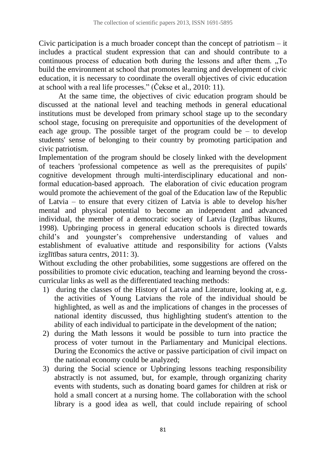Civic participation is a much broader concept than the concept of patriotism – it includes a practical student expression that can and should contribute to a continuous process of education both during the lessons and after them. "To build the environment at school that promotes learning and development of civic education, it is necessary to coordinate the overall objectives of civic education at school with a real life processes." (Čekse et al., 2010: 11).

At the same time, the objectives of civic education program should be discussed at the national level and teaching methods in general educational institutions must be developed from primary school stage up to the secondary school stage, focusing on prerequisite and opportunities of the development of each age group. The possible target of the program could be  $-$  to develop students' sense of belonging to their country by promoting participation and civic patriotism.

Implementation of the program should be closely linked with the development of teachers 'professional competence as well as the prerequisites of pupils' cognitive development through multi-interdisciplinary educational and nonformal education-based approach. The elaboration of civic education program would promote the achievement of the goal of the Education law of the Republic of Latvia – to ensure that every citizen of Latvia is able to develop his/her mental and physical potential to become an independent and advanced individual, the member of a democratic society of Latvia (Izglītības likums, 1998). Upbringing process in general education schools is directed towards child's and youngster's comprehensive understanding of values and establishment of evaluative attitude and responsibility for actions (Valsts izglītības satura centrs, 2011: 3).

Without excluding the other probabilities, some suggestions are offered on the possibilities to promote civic education, teaching and learning beyond the crosscurricular links as well as the differentiated teaching methods:

- 1) during the classes of the History of Latvia and Literature, looking at, e.g. the activities of Young Latvians the role of the individual should be highlighted, as well as and the implications of changes in the processes of national identity discussed, thus highlighting student's attention to the ability of each individual to participate in the development of the nation;
- 2) during the Math lessons it would be possible to turn into practice the process of voter turnout in the Parliamentary and Municipal elections. During the Economics the active or passive participation of civil impact on the national economy could be analyzed;
- 3) during the Social science or Upbringing lessons teaching responsibility abstractly is not assumed, but, for example, through organizing charity events with students, such as donating board games for children at risk or hold a small concert at a nursing home. The collaboration with the school library is a good idea as well, that could include repairing of school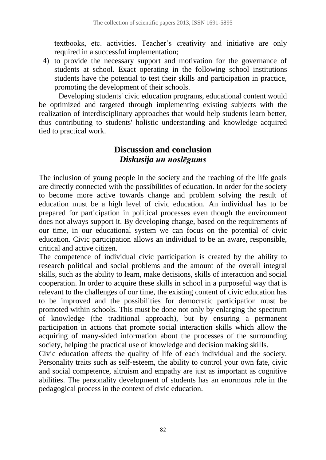textbooks, etc. activities. Teacher's creativity and initiative are only required in a successful implementation;

4) to provide the necessary support and motivation for the governance of students at school. Exact operating in the following school institutions students have the potential to test their skills and participation in practice, promoting the development of their schools.

Developing students' civic education programs, educational content would be optimized and targeted through implementing existing subjects with the realization of interdisciplinary approaches that would help students learn better, thus contributing to students' holistic understanding and knowledge acquired tied to practical work.

# **Discussion and conclusion** *Diskusija un noslēgums*

The inclusion of young people in the society and the reaching of the life goals are directly connected with the possibilities of education. In order for the society to become more active towards change and problem solving the result of education must be a high level of civic education. An individual has to be prepared for participation in political processes even though the environment does not always support it. By developing change, based on the requirements of our time, in our educational system we can focus on the potential of civic education. Civic participation allows an individual to be an aware, responsible, critical and active citizen.

The competence of individual civic participation is created by the ability to research political and social problems and the amount of the overall integral skills, such as the ability to learn, make decisions, skills of interaction and social cooperation. In order to acquire these skills in school in a purposeful way that is relevant to the challenges of our time, the existing content of civic education has to be improved and the possibilities for democratic participation must be promoted within schools. This must be done not only by enlarging the spectrum of knowledge (the traditional approach), but by ensuring a permanent participation in actions that promote social interaction skills which allow the acquiring of many-sided information about the processes of the surrounding society, helping the practical use of knowledge and decision making skills.

Civic education affects the quality of life of each individual and the society. Personality traits such as self-esteem, the ability to control your own fate, civic and social competence, altruism and empathy are just as important as cognitive abilities. The personality development of students has an enormous role in the pedagogical process in the context of civic education.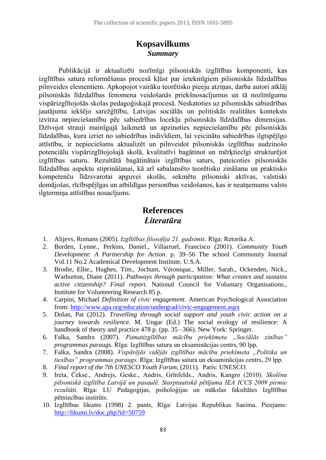### **Kopsavilkums** *Summary*

Publikācijā ir aktualizēti nozīmīgi pilsoniskās izglītības komponenti, kas izglītības satura reformēšanas procesā kļūst par ietekmīgiem pilsoniskās līdzdalības pilnveides elementiem. Apkopojot vairāku teorētisko pieeju atziņas, darba autori atklāj pilsoniskās līdzdalības fenomena veidošanās priekšnosacījumus un tā nozīmīgumu vispārizglītojošās skolas pedagoģiskajā procesā. Neskatoties uz pilsoniskās sabiedrības jautājuma iekšējo sarežģītību, Latvijas sociālās un politiskās realitātes konteksts izvirza nepieciešamību pēc sabiedrības locekļu pilsoniskās līdzdalības dimensijas. Dzīvojot strauji mainīgajā laikmetā un apzinoties nepieciešamību pēc pilsoniskās līdzdalības, kura izriet no sabiedrības indivīdiem, lai veicinātu sabiedrības ilgtspējīgo attīstību, ir nepieciešams aktualizēt un pilnveidot pilsoniskās izglītības audzinošo potenciālu vispārizglītojošajā skolā, kvalitatīvi bagātinot un mērķtiecīgi strukturējot izglītības saturu. Rezultātā bagātinātais izglītības saturs, pateicoties pilsoniskās līdzdalības aspektu stiprināšanai, kā arī sabalansēto teorētisko zināšanu un praktisko kompetenču līdzsvarotai apguvei skolās, sekmētu pilsoniski aktīvas, valstiski domājošas, rīcībspējīgas un atbildīgas personības veidošanos, kas ir neatņemams valsts ilgtermiņa attīstības nosacījums.

#### **References** *Literatūra*

- 1. Alijevs, Romans (2005). *Izglītības filosofija 21. gadsimts.* Rīga: Retorika A.
- 2. Borden, Lynne., Perkins, Daniel., Villarruel, Francisco (2001). *Community Youth Development: A Partnership for Action*. p. 39–56 The school Community Journal Vol.11 No.2 Academical Development Institute. U.S.A.
- 3. Brodie, Ellie., Hughes, Tim., Jochum, Véronique., Miller, Sarah., Ockenden, Nick., Warburton, Diane (2011). *Pathways through participation: What creates and sustains active citizenship? Final report.* National Council for Voluntary Organisations., Institute for Volunteering Research 85 p.
- 4. Carpini, Michael *Definition of civic engagement.* American Psychological Association from:<http://www.apa.org/education/undergrad/civic-engagement.aspx>
- 5. Dolan, Pat (2012). *Travelling through social support and youth civic action on a journey towards resilience.* M. Ungar (Ed.) The social ecology of resilience: A handbook of theory and practice 478 p. (pp. 35 – 366). New York: Springer.
- 6. Falka, Sandra (2007). *Pamatizglītības mācību priekšmeta "Sociālās zinības" programmas paraugs.* Rīga: Izglītības satura un eksaminācijas centrs, 90 lpp.
- 7. Falka, Sandra (2008). *Vispārējās vidējās izglītības mācību priekšmeta "Politika un tiesības" programmas paraugs.* Rīga: Izglītības satura un eksaminācijas centrs, 29 lpp.
- 8. *Final report of the 7th UNESCO Youth Forum*, (2011). Paris: UNESCO.
- 9. Ireta, Čekse., Andrejs, Geske., Andris, Grīnfelds., Andris, Kangro (2010). *Skolēnu pilsoniskā izglītība Latvijā un pasaulē. Starptautiskā pētījuma IEA ICCS 2009 pirmie rezultāti.* Rīga: LU Pedagoģijas, psiholoģijas un mākslas fakultātes Izglītības pētniecības institūts.
- 10. Izglītības likums (1998) 2. pants, Rīga: Latvijas Republikas Saeima. Pieejams: <http://likumi.lv/doc.php?id=50759>